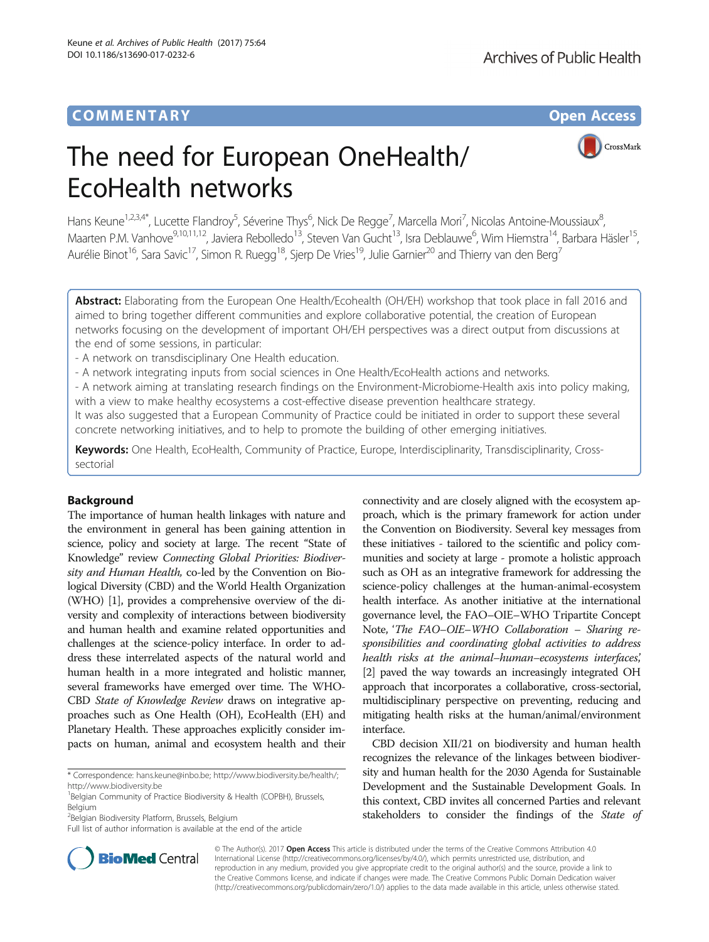# The need for European OneHealth/ EcoHealth networks



Hans Keune<sup>1,2,3,4\*</sup>, Lucette Flandroy<sup>5</sup>, Séverine Thys<sup>6</sup>, Nick De Regge<sup>7</sup>, Marcella Mori<sup>7</sup>, Nicolas Antoine-Moussiaux<sup>8</sup> ;<br>, Maarten P.M. Vanhove<sup>9,10,11,12</sup>, Javiera Rebolledo<sup>13</sup>, Steven Van Gucht<sup>13</sup>, Isra Deblauwe<sup>6</sup>, Wim Hiemstra<sup>14</sup>, Barbara Häsler<sup>15</sup>, Aurélie Binot<sup>16</sup>, Sara Savic<sup>17</sup>, Simon R. Ruegg<sup>18</sup>, Sierp De Vries<sup>19</sup>, Julie Garnier<sup>20</sup> and Thierry van den Berg<sup>7</sup>

Abstract: Elaborating from the European One Health/Ecohealth (OH/EH) workshop that took place in fall 2016 and aimed to bring together different communities and explore collaborative potential, the creation of European networks focusing on the development of important OH/EH perspectives was a direct output from discussions at the end of some sessions, in particular:

- A network on transdisciplinary One Health education.

- A network integrating inputs from social sciences in One Health/EcoHealth actions and networks.

- A network aiming at translating research findings on the Environment-Microbiome-Health axis into policy making, with a view to make healthy ecosystems a cost-effective disease prevention healthcare strategy.

It was also suggested that a European Community of Practice could be initiated in order to support these several concrete networking initiatives, and to help to promote the building of other emerging initiatives.

Keywords: One Health, EcoHealth, Community of Practice, Europe, Interdisciplinarity, Transdisciplinarity, Crosssectorial

## Background

The importance of human health linkages with nature and the environment in general has been gaining attention in science, policy and society at large. The recent "State of Knowledge" review Connecting Global Priorities: Biodiversity and Human Health, co-led by the Convention on Biological Diversity (CBD) and the World Health Organization (WHO) [\[1\]](#page-6-0), provides a comprehensive overview of the diversity and complexity of interactions between biodiversity and human health and examine related opportunities and challenges at the science-policy interface. In order to address these interrelated aspects of the natural world and human health in a more integrated and holistic manner, several frameworks have emerged over time. The WHO-CBD State of Knowledge Review draws on integrative approaches such as One Health (OH), EcoHealth (EH) and Planetary Health. These approaches explicitly consider impacts on human, animal and ecosystem health and their

\* Correspondence: [hans.keune@inbo.be;](mailto:hans.keune@inbo.be) <http://www.biodiversity.be/health/>; <http://www.biodiversity.be>

<sup>1</sup> Belgian Community of Practice Biodiversity & Health (COPBH), Brussels, Belgium

2 Belgian Biodiversity Platform, Brussels, Belgium

Full list of author information is available at the end of the article



CBD decision XII/21 on biodiversity and human health recognizes the relevance of the linkages between biodiversity and human health for the 2030 Agenda for Sustainable Development and the Sustainable Development Goals. In this context, CBD invites all concerned Parties and relevant stakeholders to consider the findings of the State of



© The Author(s). 2017 Open Access This article is distributed under the terms of the Creative Commons Attribution 4.0 International License [\(http://creativecommons.org/licenses/by/4.0/](http://creativecommons.org/licenses/by/4.0/)), which permits unrestricted use, distribution, and reproduction in any medium, provided you give appropriate credit to the original author(s) and the source, provide a link to the Creative Commons license, and indicate if changes were made. The Creative Commons Public Domain Dedication waiver [\(http://creativecommons.org/publicdomain/zero/1.0/](http://creativecommons.org/publicdomain/zero/1.0/)) applies to the data made available in this article, unless otherwise stated.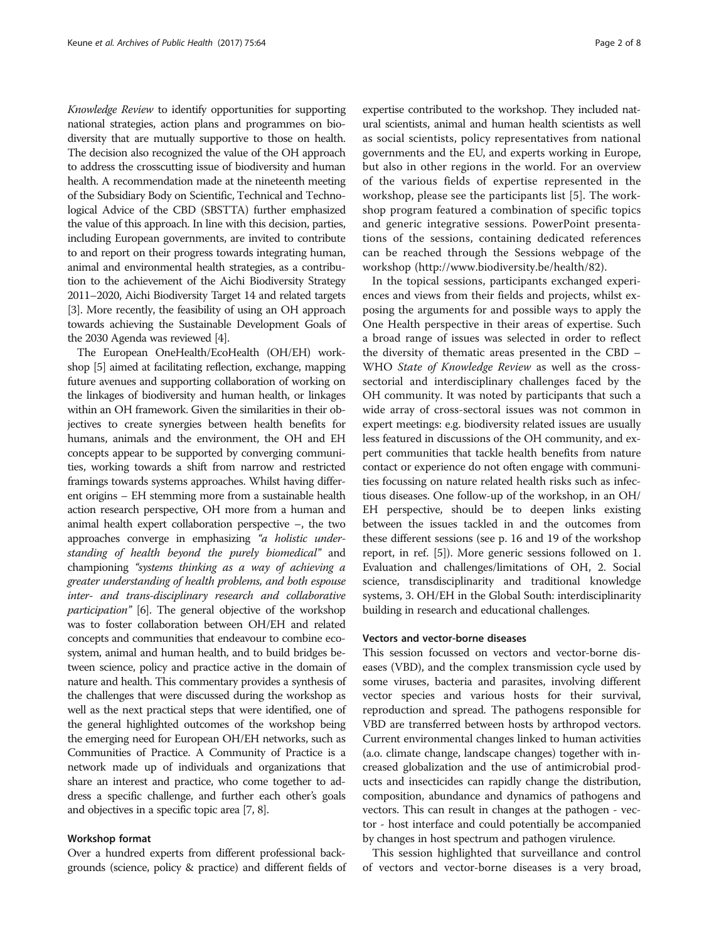Knowledge Review to identify opportunities for supporting national strategies, action plans and programmes on biodiversity that are mutually supportive to those on health. The decision also recognized the value of the OH approach to address the crosscutting issue of biodiversity and human health. A recommendation made at the nineteenth meeting of the Subsidiary Body on Scientific, Technical and Technological Advice of the CBD (SBSTTA) further emphasized the value of this approach. In line with this decision, parties, including European governments, are invited to contribute to and report on their progress towards integrating human, animal and environmental health strategies, as a contribution to the achievement of the Aichi Biodiversity Strategy 2011–2020, Aichi Biodiversity Target 14 and related targets [[3](#page-7-0)]. More recently, the feasibility of using an OH approach towards achieving the Sustainable Development Goals of the 2030 Agenda was reviewed [\[4\]](#page-7-0).

The European OneHealth/EcoHealth (OH/EH) workshop [\[5](#page-7-0)] aimed at facilitating reflection, exchange, mapping future avenues and supporting collaboration of working on the linkages of biodiversity and human health, or linkages within an OH framework. Given the similarities in their objectives to create synergies between health benefits for humans, animals and the environment, the OH and EH concepts appear to be supported by converging communities, working towards a shift from narrow and restricted framings towards systems approaches. Whilst having different origins – EH stemming more from a sustainable health action research perspective, OH more from a human and animal health expert collaboration perspective –, the two approaches converge in emphasizing "a holistic understanding of health beyond the purely biomedical" and championing "systems thinking as a way of achieving a greater understanding of health problems, and both espouse inter- and trans-disciplinary research and collaborative participation" [[6](#page-7-0)]. The general objective of the workshop was to foster collaboration between OH/EH and related concepts and communities that endeavour to combine ecosystem, animal and human health, and to build bridges between science, policy and practice active in the domain of nature and health. This commentary provides a synthesis of the challenges that were discussed during the workshop as well as the next practical steps that were identified, one of the general highlighted outcomes of the workshop being the emerging need for European OH/EH networks, such as Communities of Practice. A Community of Practice is a network made up of individuals and organizations that share an interest and practice, who come together to address a specific challenge, and further each other's goals and objectives in a specific topic area [\[7, 8](#page-7-0)].

#### Workshop format

Over a hundred experts from different professional backgrounds (science, policy & practice) and different fields of

expertise contributed to the workshop. They included natural scientists, animal and human health scientists as well as social scientists, policy representatives from national governments and the EU, and experts working in Europe, but also in other regions in the world. For an overview of the various fields of expertise represented in the workshop, please see the participants list [[5\]](#page-7-0). The workshop program featured a combination of specific topics and generic integrative sessions. PowerPoint presentations of the sessions, containing dedicated references can be reached through the Sessions webpage of the workshop ([http://www.biodiversity.be/health/82\)](http://www.biodiversity.be/health/82).

In the topical sessions, participants exchanged experiences and views from their fields and projects, whilst exposing the arguments for and possible ways to apply the One Health perspective in their areas of expertise. Such a broad range of issues was selected in order to reflect the diversity of thematic areas presented in the CBD – WHO State of Knowledge Review as well as the crosssectorial and interdisciplinary challenges faced by the OH community. It was noted by participants that such a wide array of cross-sectoral issues was not common in expert meetings: e.g. biodiversity related issues are usually less featured in discussions of the OH community, and expert communities that tackle health benefits from nature contact or experience do not often engage with communities focussing on nature related health risks such as infectious diseases. One follow-up of the workshop, in an OH/ EH perspective, should be to deepen links existing between the issues tackled in and the outcomes from these different sessions (see p. 16 and 19 of the workshop report, in ref. [\[5](#page-7-0)]). More generic sessions followed on 1. Evaluation and challenges/limitations of OH, 2. Social science, transdisciplinarity and traditional knowledge systems, 3. OH/EH in the Global South: interdisciplinarity building in research and educational challenges.

## Vectors and vector-borne diseases

This session focussed on vectors and vector-borne diseases (VBD), and the complex transmission cycle used by some viruses, bacteria and parasites, involving different vector species and various hosts for their survival, reproduction and spread. The pathogens responsible for VBD are transferred between hosts by arthropod vectors. Current environmental changes linked to human activities (a.o. climate change, landscape changes) together with increased globalization and the use of antimicrobial products and insecticides can rapidly change the distribution, composition, abundance and dynamics of pathogens and vectors. This can result in changes at the pathogen - vector - host interface and could potentially be accompanied by changes in host spectrum and pathogen virulence.

This session highlighted that surveillance and control of vectors and vector-borne diseases is a very broad,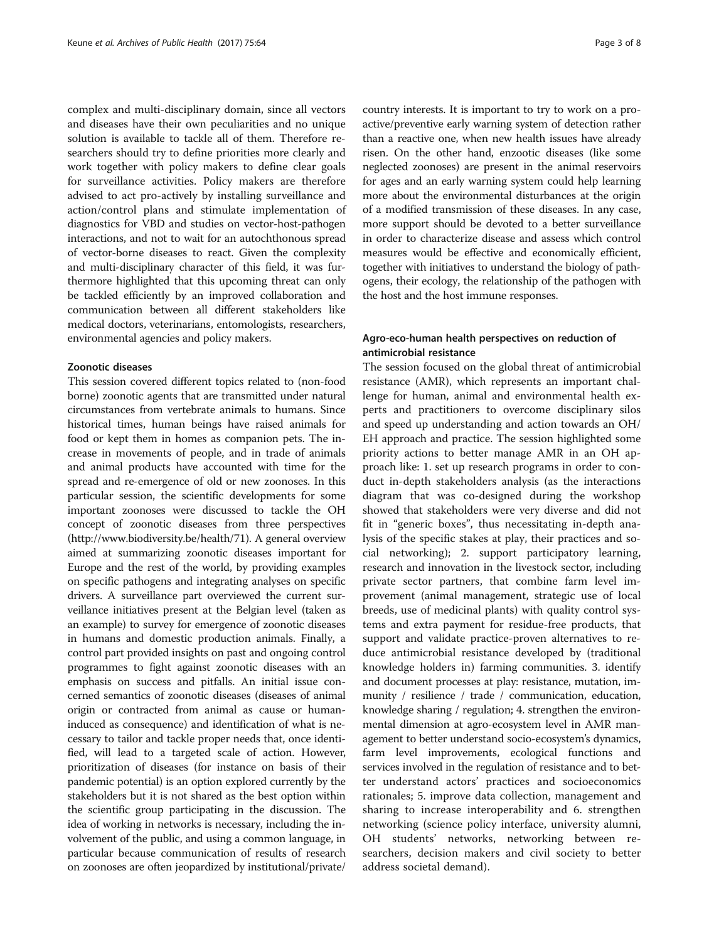complex and multi-disciplinary domain, since all vectors and diseases have their own peculiarities and no unique solution is available to tackle all of them. Therefore researchers should try to define priorities more clearly and work together with policy makers to define clear goals for surveillance activities. Policy makers are therefore advised to act pro-actively by installing surveillance and action/control plans and stimulate implementation of diagnostics for VBD and studies on vector-host-pathogen interactions, and not to wait for an autochthonous spread of vector-borne diseases to react. Given the complexity and multi-disciplinary character of this field, it was furthermore highlighted that this upcoming threat can only be tackled efficiently by an improved collaboration and communication between all different stakeholders like medical doctors, veterinarians, entomologists, researchers, environmental agencies and policy makers.

## Zoonotic diseases

This session covered different topics related to (non-food borne) zoonotic agents that are transmitted under natural circumstances from vertebrate animals to humans. Since historical times, human beings have raised animals for food or kept them in homes as companion pets. The increase in movements of people, and in trade of animals and animal products have accounted with time for the spread and re-emergence of old or new zoonoses. In this particular session, the scientific developments for some important zoonoses were discussed to tackle the OH concept of zoonotic diseases from three perspectives (<http://www.biodiversity.be/health/71>). A general overview aimed at summarizing zoonotic diseases important for Europe and the rest of the world, by providing examples on specific pathogens and integrating analyses on specific drivers. A surveillance part overviewed the current surveillance initiatives present at the Belgian level (taken as an example) to survey for emergence of zoonotic diseases in humans and domestic production animals. Finally, a control part provided insights on past and ongoing control programmes to fight against zoonotic diseases with an emphasis on success and pitfalls. An initial issue concerned semantics of zoonotic diseases (diseases of animal origin or contracted from animal as cause or humaninduced as consequence) and identification of what is necessary to tailor and tackle proper needs that, once identified, will lead to a targeted scale of action. However, prioritization of diseases (for instance on basis of their pandemic potential) is an option explored currently by the stakeholders but it is not shared as the best option within the scientific group participating in the discussion. The idea of working in networks is necessary, including the involvement of the public, and using a common language, in particular because communication of results of research on zoonoses are often jeopardized by institutional/private/ country interests. It is important to try to work on a proactive/preventive early warning system of detection rather than a reactive one, when new health issues have already risen. On the other hand, enzootic diseases (like some neglected zoonoses) are present in the animal reservoirs for ages and an early warning system could help learning more about the environmental disturbances at the origin of a modified transmission of these diseases. In any case, more support should be devoted to a better surveillance in order to characterize disease and assess which control measures would be effective and economically efficient, together with initiatives to understand the biology of pathogens, their ecology, the relationship of the pathogen with the host and the host immune responses.

## Agro-eco-human health perspectives on reduction of antimicrobial resistance

The session focused on the global threat of antimicrobial resistance (AMR), which represents an important challenge for human, animal and environmental health experts and practitioners to overcome disciplinary silos and speed up understanding and action towards an OH/ EH approach and practice. The session highlighted some priority actions to better manage AMR in an OH approach like: 1. set up research programs in order to conduct in-depth stakeholders analysis (as the interactions diagram that was co-designed during the workshop showed that stakeholders were very diverse and did not fit in "generic boxes", thus necessitating in-depth analysis of the specific stakes at play, their practices and social networking); 2. support participatory learning, research and innovation in the livestock sector, including private sector partners, that combine farm level improvement (animal management, strategic use of local breeds, use of medicinal plants) with quality control systems and extra payment for residue-free products, that support and validate practice-proven alternatives to reduce antimicrobial resistance developed by (traditional knowledge holders in) farming communities. 3. identify and document processes at play: resistance, mutation, immunity / resilience / trade / communication, education, knowledge sharing / regulation; 4. strengthen the environmental dimension at agro-ecosystem level in AMR management to better understand socio-ecosystem's dynamics, farm level improvements, ecological functions and services involved in the regulation of resistance and to better understand actors' practices and socioeconomics rationales; 5. improve data collection, management and sharing to increase interoperability and 6. strengthen networking (science policy interface, university alumni, OH students' networks, networking between researchers, decision makers and civil society to better address societal demand).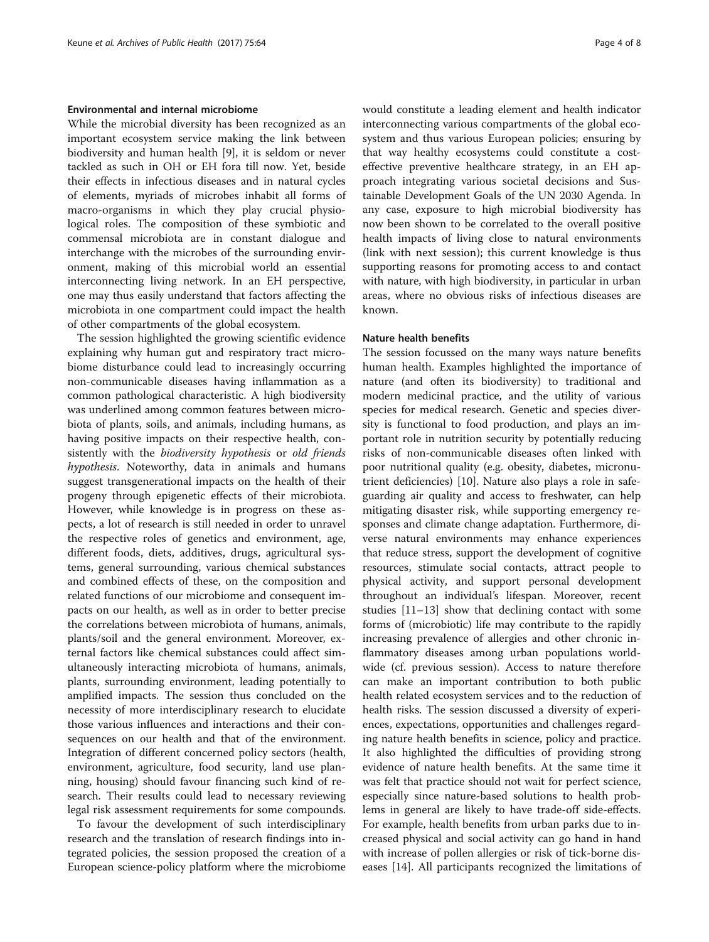## Environmental and internal microbiome

While the microbial diversity has been recognized as an important ecosystem service making the link between biodiversity and human health [[9\]](#page-7-0), it is seldom or never tackled as such in OH or EH fora till now. Yet, beside their effects in infectious diseases and in natural cycles of elements, myriads of microbes inhabit all forms of macro-organisms in which they play crucial physiological roles. The composition of these symbiotic and commensal microbiota are in constant dialogue and interchange with the microbes of the surrounding environment, making of this microbial world an essential interconnecting living network. In an EH perspective, one may thus easily understand that factors affecting the microbiota in one compartment could impact the health of other compartments of the global ecosystem.

The session highlighted the growing scientific evidence explaining why human gut and respiratory tract microbiome disturbance could lead to increasingly occurring non-communicable diseases having inflammation as a common pathological characteristic. A high biodiversity was underlined among common features between microbiota of plants, soils, and animals, including humans, as having positive impacts on their respective health, consistently with the biodiversity hypothesis or old friends hypothesis. Noteworthy, data in animals and humans suggest transgenerational impacts on the health of their progeny through epigenetic effects of their microbiota. However, while knowledge is in progress on these aspects, a lot of research is still needed in order to unravel the respective roles of genetics and environment, age, different foods, diets, additives, drugs, agricultural systems, general surrounding, various chemical substances and combined effects of these, on the composition and related functions of our microbiome and consequent impacts on our health, as well as in order to better precise the correlations between microbiota of humans, animals, plants/soil and the general environment. Moreover, external factors like chemical substances could affect simultaneously interacting microbiota of humans, animals, plants, surrounding environment, leading potentially to amplified impacts. The session thus concluded on the necessity of more interdisciplinary research to elucidate those various influences and interactions and their consequences on our health and that of the environment. Integration of different concerned policy sectors (health, environment, agriculture, food security, land use planning, housing) should favour financing such kind of research. Their results could lead to necessary reviewing legal risk assessment requirements for some compounds.

To favour the development of such interdisciplinary research and the translation of research findings into integrated policies, the session proposed the creation of a European science-policy platform where the microbiome would constitute a leading element and health indicator interconnecting various compartments of the global ecosystem and thus various European policies; ensuring by that way healthy ecosystems could constitute a costeffective preventive healthcare strategy, in an EH approach integrating various societal decisions and Sustainable Development Goals of the UN 2030 Agenda. In any case, exposure to high microbial biodiversity has now been shown to be correlated to the overall positive health impacts of living close to natural environments (link with next session); this current knowledge is thus supporting reasons for promoting access to and contact with nature, with high biodiversity, in particular in urban areas, where no obvious risks of infectious diseases are known.

## Nature health benefits

The session focussed on the many ways nature benefits human health. Examples highlighted the importance of nature (and often its biodiversity) to traditional and modern medicinal practice, and the utility of various species for medical research. Genetic and species diversity is functional to food production, and plays an important role in nutrition security by potentially reducing risks of non-communicable diseases often linked with poor nutritional quality (e.g. obesity, diabetes, micronutrient deficiencies) [\[10](#page-7-0)]. Nature also plays a role in safeguarding air quality and access to freshwater, can help mitigating disaster risk, while supporting emergency responses and climate change adaptation. Furthermore, diverse natural environments may enhance experiences that reduce stress, support the development of cognitive resources, stimulate social contacts, attract people to physical activity, and support personal development throughout an individual's lifespan. Moreover, recent studies [\[11](#page-7-0)–[13\]](#page-7-0) show that declining contact with some forms of (microbiotic) life may contribute to the rapidly increasing prevalence of allergies and other chronic inflammatory diseases among urban populations worldwide (cf. previous session). Access to nature therefore can make an important contribution to both public health related ecosystem services and to the reduction of health risks. The session discussed a diversity of experiences, expectations, opportunities and challenges regarding nature health benefits in science, policy and practice. It also highlighted the difficulties of providing strong evidence of nature health benefits. At the same time it was felt that practice should not wait for perfect science, especially since nature-based solutions to health problems in general are likely to have trade-off side-effects. For example, health benefits from urban parks due to increased physical and social activity can go hand in hand with increase of pollen allergies or risk of tick-borne diseases [\[14](#page-7-0)]. All participants recognized the limitations of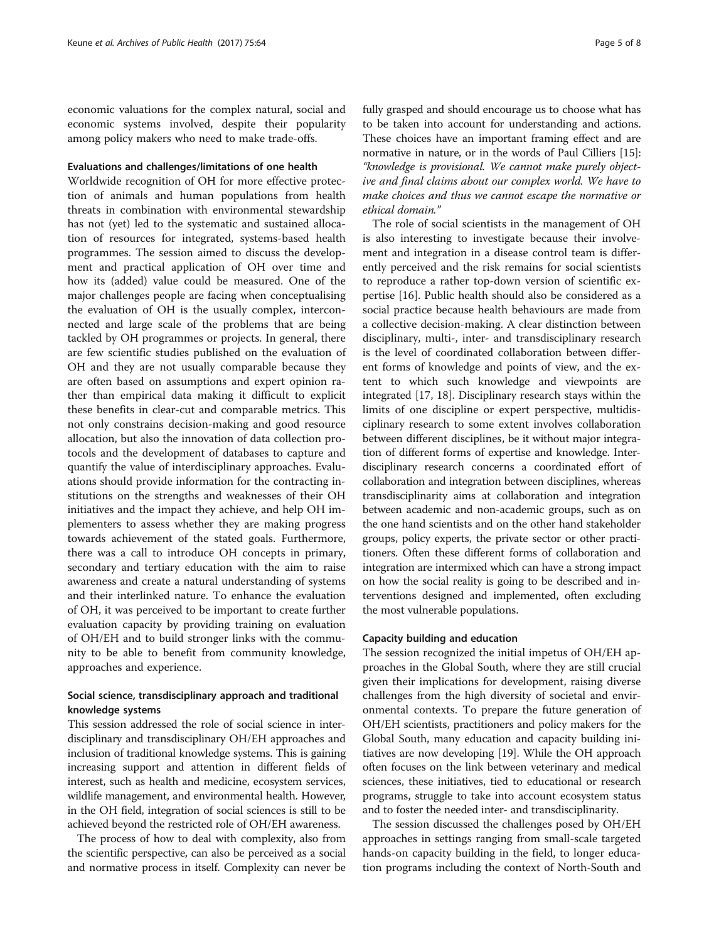economic valuations for the complex natural, social and economic systems involved, despite their popularity among policy makers who need to make trade-offs.

## Evaluations and challenges/limitations of one health

Worldwide recognition of OH for more effective protection of animals and human populations from health threats in combination with environmental stewardship has not (yet) led to the systematic and sustained allocation of resources for integrated, systems-based health programmes. The session aimed to discuss the development and practical application of OH over time and how its (added) value could be measured. One of the major challenges people are facing when conceptualising the evaluation of OH is the usually complex, interconnected and large scale of the problems that are being tackled by OH programmes or projects. In general, there are few scientific studies published on the evaluation of OH and they are not usually comparable because they are often based on assumptions and expert opinion rather than empirical data making it difficult to explicit these benefits in clear-cut and comparable metrics. This not only constrains decision-making and good resource allocation, but also the innovation of data collection protocols and the development of databases to capture and quantify the value of interdisciplinary approaches. Evaluations should provide information for the contracting institutions on the strengths and weaknesses of their OH initiatives and the impact they achieve, and help OH implementers to assess whether they are making progress towards achievement of the stated goals. Furthermore, there was a call to introduce OH concepts in primary, secondary and tertiary education with the aim to raise awareness and create a natural understanding of systems and their interlinked nature. To enhance the evaluation of OH, it was perceived to be important to create further evaluation capacity by providing training on evaluation of OH/EH and to build stronger links with the community to be able to benefit from community knowledge, approaches and experience.

## Social science, transdisciplinary approach and traditional knowledge systems

This session addressed the role of social science in interdisciplinary and transdisciplinary OH/EH approaches and inclusion of traditional knowledge systems. This is gaining increasing support and attention in different fields of interest, such as health and medicine, ecosystem services, wildlife management, and environmental health. However, in the OH field, integration of social sciences is still to be achieved beyond the restricted role of OH/EH awareness.

The process of how to deal with complexity, also from the scientific perspective, can also be perceived as a social and normative process in itself. Complexity can never be fully grasped and should encourage us to choose what has to be taken into account for understanding and actions. These choices have an important framing effect and are normative in nature, or in the words of Paul Cilliers [[15](#page-7-0)]: "knowledge is provisional. We cannot make purely objective and final claims about our complex world. We have to make choices and thus we cannot escape the normative or ethical domain."

The role of social scientists in the management of OH is also interesting to investigate because their involvement and integration in a disease control team is differently perceived and the risk remains for social scientists to reproduce a rather top-down version of scientific expertise [\[16\]](#page-7-0). Public health should also be considered as a social practice because health behaviours are made from a collective decision-making. A clear distinction between disciplinary, multi-, inter- and transdisciplinary research is the level of coordinated collaboration between different forms of knowledge and points of view, and the extent to which such knowledge and viewpoints are integrated [\[17, 18\]](#page-7-0). Disciplinary research stays within the limits of one discipline or expert perspective, multidisciplinary research to some extent involves collaboration between different disciplines, be it without major integration of different forms of expertise and knowledge. Interdisciplinary research concerns a coordinated effort of collaboration and integration between disciplines, whereas transdisciplinarity aims at collaboration and integration between academic and non-academic groups, such as on the one hand scientists and on the other hand stakeholder groups, policy experts, the private sector or other practitioners. Often these different forms of collaboration and integration are intermixed which can have a strong impact on how the social reality is going to be described and interventions designed and implemented, often excluding the most vulnerable populations.

#### Capacity building and education

The session recognized the initial impetus of OH/EH approaches in the Global South, where they are still crucial given their implications for development, raising diverse challenges from the high diversity of societal and environmental contexts. To prepare the future generation of OH/EH scientists, practitioners and policy makers for the Global South, many education and capacity building initiatives are now developing [\[19](#page-7-0)]. While the OH approach often focuses on the link between veterinary and medical sciences, these initiatives, tied to educational or research programs, struggle to take into account ecosystem status and to foster the needed inter- and transdisciplinarity.

The session discussed the challenges posed by OH/EH approaches in settings ranging from small-scale targeted hands-on capacity building in the field, to longer education programs including the context of North-South and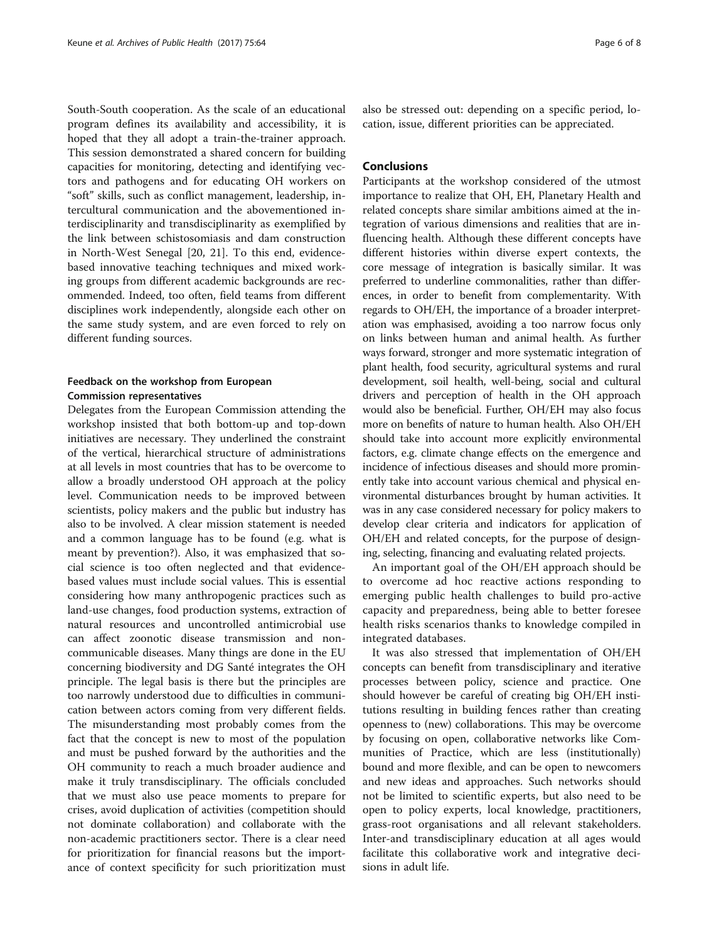South-South cooperation. As the scale of an educational program defines its availability and accessibility, it is hoped that they all adopt a train-the-trainer approach. This session demonstrated a shared concern for building capacities for monitoring, detecting and identifying vectors and pathogens and for educating OH workers on "soft" skills, such as conflict management, leadership, intercultural communication and the abovementioned interdisciplinarity and transdisciplinarity as exemplified by the link between schistosomiasis and dam construction in North-West Senegal [\[20](#page-7-0), [21](#page-7-0)]. To this end, evidencebased innovative teaching techniques and mixed working groups from different academic backgrounds are recommended. Indeed, too often, field teams from different disciplines work independently, alongside each other on the same study system, and are even forced to rely on different funding sources.

## Feedback on the workshop from European Commission representatives

Delegates from the European Commission attending the workshop insisted that both bottom-up and top-down initiatives are necessary. They underlined the constraint of the vertical, hierarchical structure of administrations at all levels in most countries that has to be overcome to allow a broadly understood OH approach at the policy level. Communication needs to be improved between scientists, policy makers and the public but industry has also to be involved. A clear mission statement is needed and a common language has to be found (e.g. what is meant by prevention?). Also, it was emphasized that social science is too often neglected and that evidencebased values must include social values. This is essential considering how many anthropogenic practices such as land-use changes, food production systems, extraction of natural resources and uncontrolled antimicrobial use can affect zoonotic disease transmission and noncommunicable diseases. Many things are done in the EU concerning biodiversity and DG Santé integrates the OH principle. The legal basis is there but the principles are too narrowly understood due to difficulties in communication between actors coming from very different fields. The misunderstanding most probably comes from the fact that the concept is new to most of the population and must be pushed forward by the authorities and the OH community to reach a much broader audience and make it truly transdisciplinary. The officials concluded that we must also use peace moments to prepare for crises, avoid duplication of activities (competition should not dominate collaboration) and collaborate with the non-academic practitioners sector. There is a clear need for prioritization for financial reasons but the importance of context specificity for such prioritization must also be stressed out: depending on a specific period, location, issue, different priorities can be appreciated.

## Conclusions

Participants at the workshop considered of the utmost importance to realize that OH, EH, Planetary Health and related concepts share similar ambitions aimed at the integration of various dimensions and realities that are influencing health. Although these different concepts have different histories within diverse expert contexts, the core message of integration is basically similar. It was preferred to underline commonalities, rather than differences, in order to benefit from complementarity. With regards to OH/EH, the importance of a broader interpretation was emphasised, avoiding a too narrow focus only on links between human and animal health. As further ways forward, stronger and more systematic integration of plant health, food security, agricultural systems and rural development, soil health, well-being, social and cultural drivers and perception of health in the OH approach would also be beneficial. Further, OH/EH may also focus more on benefits of nature to human health. Also OH/EH should take into account more explicitly environmental factors, e.g. climate change effects on the emergence and incidence of infectious diseases and should more prominently take into account various chemical and physical environmental disturbances brought by human activities. It was in any case considered necessary for policy makers to develop clear criteria and indicators for application of OH/EH and related concepts, for the purpose of designing, selecting, financing and evaluating related projects.

An important goal of the OH/EH approach should be to overcome ad hoc reactive actions responding to emerging public health challenges to build pro-active capacity and preparedness, being able to better foresee health risks scenarios thanks to knowledge compiled in integrated databases.

It was also stressed that implementation of OH/EH concepts can benefit from transdisciplinary and iterative processes between policy, science and practice. One should however be careful of creating big OH/EH institutions resulting in building fences rather than creating openness to (new) collaborations. This may be overcome by focusing on open, collaborative networks like Communities of Practice, which are less (institutionally) bound and more flexible, and can be open to newcomers and new ideas and approaches. Such networks should not be limited to scientific experts, but also need to be open to policy experts, local knowledge, practitioners, grass-root organisations and all relevant stakeholders. Inter-and transdisciplinary education at all ages would facilitate this collaborative work and integrative decisions in adult life.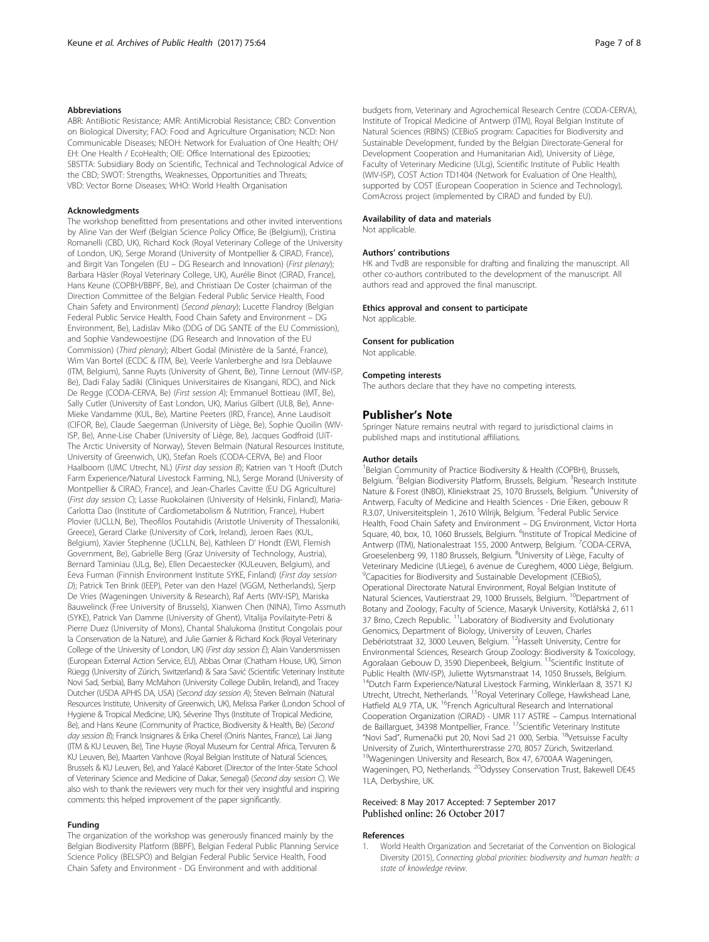### <span id="page-6-0"></span>Abbreviations

ABR: AntiBiotic Resistance; AMR: AntiMicrobial Resistance; CBD: Convention on Biological Diversity; FAO: Food and Agriculture Organisation; NCD: Non Communicable Diseases; NEOH: Network for Evaluation of One Health; OH/ EH: One Health / EcoHealth; OIE: Office International des Epizooties; SBSTTA: Subsidiary Body on Scientific, Technical and Technological Advice of the CBD; SWOT: Strengths, Weaknesses, Opportunities and Threats; VBD: Vector Borne Diseases; WHO: World Health Organisation

#### Acknowledgments

The workshop benefitted from presentations and other invited interventions by Aline Van der Werf (Belgian Science Policy Office, Be (Belgium)), Cristina Romanelli (CBD, UK), Richard Kock (Royal Veterinary College of the University of London, UK), Serge Morand (University of Montpellier & CIRAD, France), and Birgit Van Tongelen (EU – DG Research and Innovation) (First plenary); Barbara Häsler (Royal Veterinary College, UK), Aurélie Binot (CIRAD, France), Hans Keune (COPBH/BBPF, Be), and Christiaan De Coster (chairman of the Direction Committee of the Belgian Federal Public Service Health, Food Chain Safety and Environment) (Second plenary); Lucette Flandroy (Belgian Federal Public Service Health, Food Chain Safety and Environment – DG Environment, Be), Ladislav Miko (DDG of DG SANTE of the EU Commission), and Sophie Vandewoestijne (DG Research and Innovation of the EU Commission) (Third plenary); Albert Godal (Ministère de la Santé, France), Wim Van Bortel (ECDC & ITM, Be), Veerle Vanlerberghe and Isra Deblauwe (ITM, Belgium), Sanne Ruyts (University of Ghent, Be), Tinne Lernout (WIV-ISP, Be), Dadi Falay Sadiki (Cliniques Universitaires de Kisangani, RDC), and Nick De Regge (CODA-CERVA, Be) (First session A); Emmanuel Bottieau (IMT, Be), Sally Cutler (University of East London, UK), Marius Gilbert (ULB, Be), Anne-Mieke Vandamme (KUL, Be), Martine Peeters (IRD, France), Anne Laudisoit (CIFOR, Be), Claude Saegerman (University of Liège, Be), Sophie Quoilin (WIV-ISP, Be), Anne-Lise Chaber (University of Liège, Be), Jacques Godfroid (UiT-The Arctic University of Norway), Steven Belmain (Natural Resources Institute, University of Greenwich, UK), Stefan Roels (CODA-CERVA, Be) and Floor Haalboom (UMC Utrecht, NL) (First day session B); Katrien van 't Hooft (Dutch Farm Experience/Natural Livestock Farming, NL), Serge Morand (University of Montpellier & CIRAD, France), and Jean-Charles Cavitte (EU DG Agriculture) (First day session C); Lasse Ruokolainen (University of Helsinki, Finland), Maria-Carlotta Dao (Institute of Cardiometabolism & Nutrition, France), Hubert Plovier (UCLLN, Be), Theofilos Poutahidis (Aristotle University of Thessaloniki, Greece), Gerard Clarke (University of Cork, Ireland), Jeroen Raes (KUL, Belgium), Xavier Stephenne (UCLLN, Be), Kathleen D' Hondt (EWI, Flemish Government, Be), Gabrielle Berg (Graz University of Technology, Austria), Bernard Taminiau (ULg, Be), Ellen Decaestecker (KULeuven, Belgium), and Eeva Furman (Finnish Environment Institute SYKE, Finland) (First day session D); Patrick Ten Brink (IEEP), Peter van den Hazel (VGGM, Netherlands), Sjerp De Vries (Wageningen University & Research), Raf Aerts (WIV-ISP), Mariska Bauwelinck (Free University of Brussels), Xianwen Chen (NINA), Timo Assmuth (SYKE), Patrick Van Damme (University of Ghent), Vitalija Povilaityte-Petri & Pierre Duez (University of Mons), Chantal Shalukoma (Institut Congolais pour la Conservation de la Nature), and Julie Garnier & Richard Kock (Royal Veterinary College of the University of London, UK) (First day session E); Alain Vandersmissen (European External Action Service, EU), Abbas Omar (Chatham House, UK), Simon Rüegg (University of Zürich, Switzerland) & Sara Savić (Scientific Veterinary Institute Novi Sad, Serbia), Barry McMahon (University College Dublin, Ireland), and Tracey Dutcher (USDA APHIS DA, USA) (Second day session A); Steven Belmain (Natural Resources Institute, University of Greenwich, UK), Melissa Parker (London School of Hygiene & Tropical Medicine, UK), Séverine Thys (Institute of Tropical Medicine, Be), and Hans Keune (Community of Practice, Biodiversity & Health, Be) (Second day session B); Franck Insignares & Erika Cherel (Oniris Nantes, France), Lai Jiang (ITM & KU Leuven, Be), Tine Huyse (Royal Museum for Central Africa, Tervuren & KU Leuven, Be), Maarten Vanhove (Royal Belgian Institute of Natural Sciences, Brussels & KU Leuven, Be), and Yalacé Kaboret (Director of the Inter-State School of Veterinary Science and Medicine of Dakar, Senegal) (Second day session C). We also wish to thank the reviewers very much for their very insightful and inspiring comments: this helped improvement of the paper significantly.

#### Funding

The organization of the workshop was generously financed mainly by the Belgian Biodiversity Platform (BBPF), Belgian Federal Public Planning Service Science Policy (BELSPO) and Belgian Federal Public Service Health, Food Chain Safety and Environment - DG Environment and with additional

budgets from, Veterinary and Agrochemical Research Centre (CODA-CERVA), Institute of Tropical Medicine of Antwerp (ITM), Royal Belgian Institute of Natural Sciences (RBINS) (CEBioS program: Capacities for Biodiversity and Sustainable Development, funded by the Belgian Directorate-General for Development Cooperation and Humanitarian Aid), University of Liège, Faculty of Veterinary Medicine (ULg), Scientific Institute of Public Health (WIV-ISP), COST Action TD1404 (Network for Evaluation of One Health), supported by COST (European Cooperation in Science and Technology), ComAcross project (implemented by CIRAD and funded by EU).

## Availability of data and materials

Not applicable.

#### Authors' contributions

HK and TvdB are responsible for drafting and finalizing the manuscript. All other co-authors contributed to the development of the manuscript. All authors read and approved the final manuscript.

#### Ethics approval and consent to participate

Not applicable.

#### Consent for publication

Not applicable.

#### Competing interests

The authors declare that they have no competing interests.

## Publisher's Note

Springer Nature remains neutral with regard to jurisdictional claims in published maps and institutional affiliations.

#### Author details

<sup>1</sup> Belgian Community of Practice Biodiversity & Health (COPBH), Brussels Belgium. <sup>2</sup>Belgian Biodiversity Platform, Brussels, Belgium. <sup>3</sup>Research Institute Nature & Forest (INBO), Kliniekstraat 25, 1070 Brussels, Belgium. <sup>4</sup>University of Antwerp, Faculty of Medicine and Health Sciences - Drie Eiken, gebouw R R.3.07, Universiteitsplein 1, 2610 Wilrijk, Belgium. <sup>5</sup>Federal Public Service Health, Food Chain Safety and Environment – DG Environment, Victor Horta Square, 40, box, 10, 1060 Brussels, Belgium. <sup>6</sup>Institute of Tropical Medicine of Antwerp (ITM), Nationalestraat 155, 2000 Antwerp, Belgium. <sup>7</sup>CODA-CERVA, Groeselenberg 99, 1180 Brussels, Belgium. <sup>8</sup>University of Liège, Faculty of Veterinary Medicine (ULiege), 6 avenue de Cureghem, 4000 Liège, Belgium. <sup>9</sup> Capacities for Biodiversity and Sustainable Development (CEBioS), Operational Directorate Natural Environment, Royal Belgian Institute of Natural Sciences, Vautierstraat 29, 1000 Brussels, Belgium. <sup>10</sup>Department of Botany and Zoology, Faculty of Science, Masaryk University, Kotlářská 2, 611 37 Brno, Czech Republic. <sup>11</sup>Laboratory of Biodiversity and Evolutionary Genomics, Department of Biology, University of Leuven, Charles Debériotstraat 32, 3000 Leuven, Belgium. <sup>12</sup>Hasselt University, Centre for Environmental Sciences, Research Group Zoology: Biodiversity & Toxicology, Agoralaan Gebouw D, 3590 Diepenbeek, Belgium. <sup>13</sup>Scientific Institute of Public Health (WIV-ISP), Juliette Wytsmanstraat 14, 1050 Brussels, Belgium. <sup>14</sup>Dutch Farm Experience/Natural Livestock Farming, Winklerlaan 8, 3571 KJ Utrecht, Utrecht, Netherlands. <sup>15</sup>Royal Veterinary College, Hawkshead Lane, Hatfield AL9 7TA, UK. <sup>16</sup>French Agricultural Research and International Cooperation Organization (CIRAD) - UMR 117 ASTRE – Campus International de Baillarguet, 34398 Montpellier, France. 17Scientific Veterinary Institute "Novi Sad", Rumenački put 20, Novi Sad 21 000, Serbia. 18Vetsuisse Faculty University of Zurich, Winterthurerstrasse 270, 8057 Zürich, Switzerland. <sup>19</sup>Wageningen University and Research, Box 47, 6700AA Wageningen, Wageningen, PO, Netherlands. <sup>20</sup>Odyssey Conservation Trust, Bakewell DE45 1LA, Derbyshire, UK.

#### Received: 8 May 2017 Accepted: 7 September 2017 Published online: 26 October 2017

#### References

1. World Health Organization and Secretariat of the Convention on Biological Diversity (2015), Connecting global priorities: biodiversity and human health: a state of knowledge review.